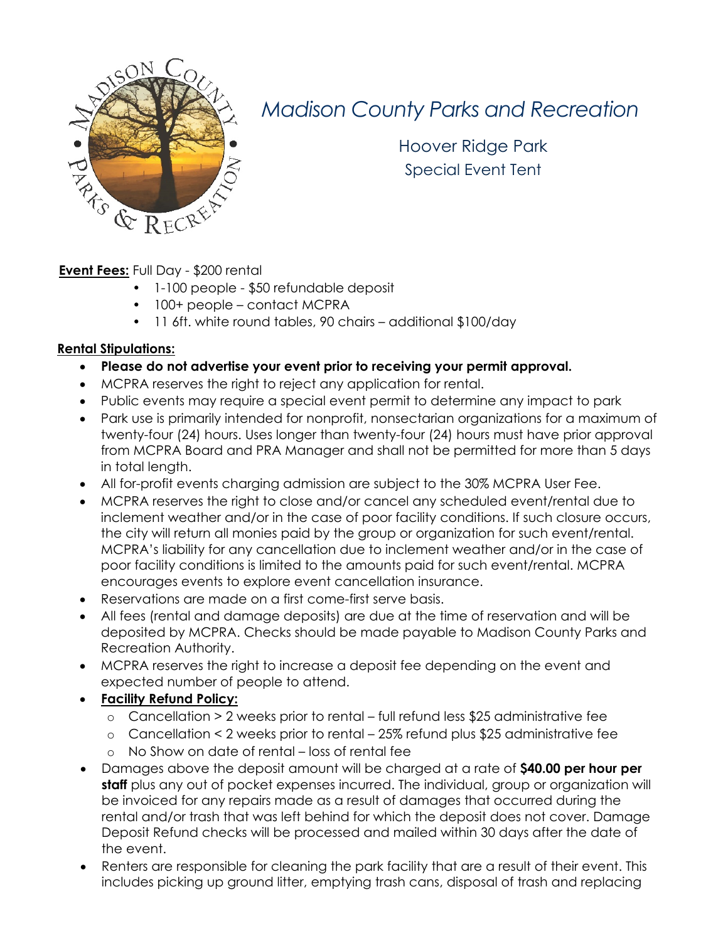

### *Madison County Parks and Recreation*

Hoover Ridge Park Special Event Tent

**Event Fees:** Full Day - \$200 rental

- 1-100 people \$50 refundable deposit
- 100+ people contact MCPRA
- 11 6ft. white round tables, 90 chairs additional \$100/day

#### **Rental Stipulations:**

- **Please do not advertise your event prior to receiving your permit approval.**
- MCPRA reserves the right to reject any application for rental.
- Public events may require a special event permit to determine any impact to park
- Park use is primarily intended for nonprofit, nonsectarian organizations for a maximum of twenty-four (24) hours. Uses longer than twenty-four (24) hours must have prior approval from MCPRA Board and PRA Manager and shall not be permitted for more than 5 days in total length.
- All for-profit events charging admission are subject to the 30% MCPRA User Fee.
- MCPRA reserves the right to close and/or cancel any scheduled event/rental due to inclement weather and/or in the case of poor facility conditions. If such closure occurs, the city will return all monies paid by the group or organization for such event/rental. MCPRA's liability for any cancellation due to inclement weather and/or in the case of poor facility conditions is limited to the amounts paid for such event/rental. MCPRA encourages events to explore event cancellation insurance.
- Reservations are made on a first come-first serve basis.
- All fees (rental and damage deposits) are due at the time of reservation and will be deposited by MCPRA. Checks should be made payable to Madison County Parks and Recreation Authority.
- MCPRA reserves the right to increase a deposit fee depending on the event and expected number of people to attend.
- **Facility Refund Policy:**
	- o Cancellation > 2 weeks prior to rental full refund less \$25 administrative fee
	- o Cancellation < 2 weeks prior to rental 25% refund plus \$25 administrative fee
	- o No Show on date of rental loss of rental fee
- Damages above the deposit amount will be charged at a rate of **\$40.00 per hour per staff** plus any out of pocket expenses incurred. The individual, group or organization will be invoiced for any repairs made as a result of damages that occurred during the rental and/or trash that was left behind for which the deposit does not cover. Damage Deposit Refund checks will be processed and mailed within 30 days after the date of the event.
- Renters are responsible for cleaning the park facility that are a result of their event. This includes picking up ground litter, emptying trash cans, disposal of trash and replacing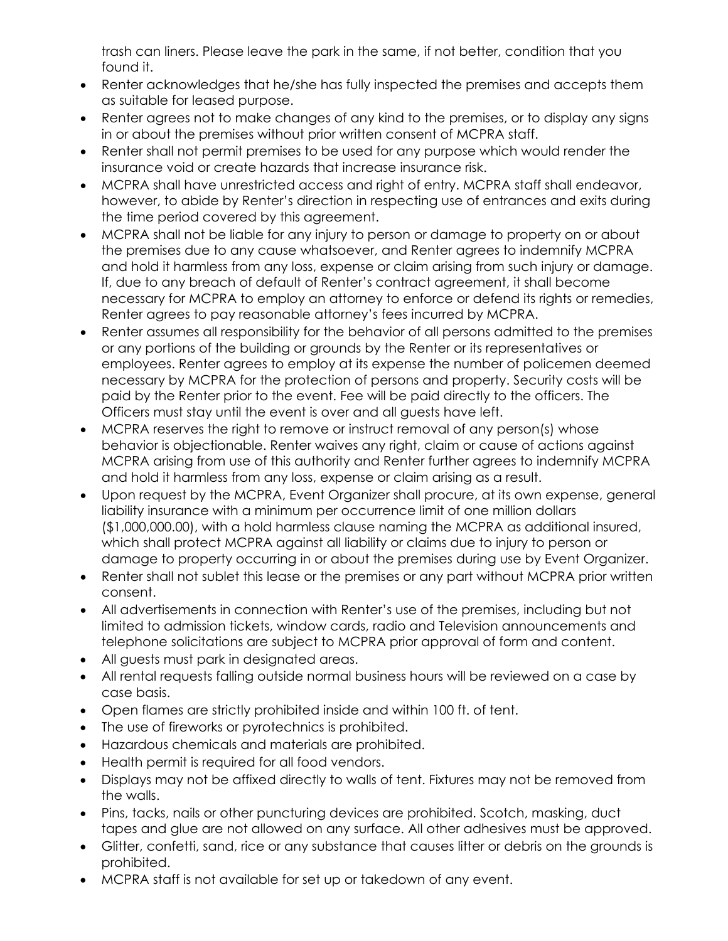trash can liners. Please leave the park in the same, if not better, condition that you found it.

- Renter acknowledges that he/she has fully inspected the premises and accepts them as suitable for leased purpose.
- Renter agrees not to make changes of any kind to the premises, or to display any signs in or about the premises without prior written consent of MCPRA staff.
- Renter shall not permit premises to be used for any purpose which would render the insurance void or create hazards that increase insurance risk.
- MCPRA shall have unrestricted access and right of entry. MCPRA staff shall endeavor, however, to abide by Renter's direction in respecting use of entrances and exits during the time period covered by this agreement.
- MCPRA shall not be liable for any injury to person or damage to property on or about the premises due to any cause whatsoever, and Renter agrees to indemnify MCPRA and hold it harmless from any loss, expense or claim arising from such injury or damage. If, due to any breach of default of Renter's contract agreement, it shall become necessary for MCPRA to employ an attorney to enforce or defend its rights or remedies, Renter agrees to pay reasonable attorney's fees incurred by MCPRA.
- Renter assumes all responsibility for the behavior of all persons admitted to the premises or any portions of the building or grounds by the Renter or its representatives or employees. Renter agrees to employ at its expense the number of policemen deemed necessary by MCPRA for the protection of persons and property. Security costs will be paid by the Renter prior to the event. Fee will be paid directly to the officers. The Officers must stay until the event is over and all guests have left.
- MCPRA reserves the right to remove or instruct removal of any person(s) whose behavior is objectionable. Renter waives any right, claim or cause of actions against MCPRA arising from use of this authority and Renter further agrees to indemnify MCPRA and hold it harmless from any loss, expense or claim arising as a result.
- Upon request by the MCPRA, Event Organizer shall procure, at its own expense, general liability insurance with a minimum per occurrence limit of one million dollars (\$1,000,000.00), with a hold harmless clause naming the MCPRA as additional insured, which shall protect MCPRA against all liability or claims due to injury to person or damage to property occurring in or about the premises during use by Event Organizer.
- Renter shall not sublet this lease or the premises or any part without MCPRA prior written consent.
- All advertisements in connection with Renter's use of the premises, including but not limited to admission tickets, window cards, radio and Television announcements and telephone solicitations are subject to MCPRA prior approval of form and content.
- All guests must park in designated areas.
- All rental requests falling outside normal business hours will be reviewed on a case by case basis.
- Open flames are strictly prohibited inside and within 100 ft. of tent.
- The use of fireworks or pyrotechnics is prohibited.
- Hazardous chemicals and materials are prohibited.
- Health permit is required for all food vendors.
- Displays may not be affixed directly to walls of tent. Fixtures may not be removed from the walls.
- Pins, tacks, nails or other puncturing devices are prohibited. Scotch, masking, duct tapes and glue are not allowed on any surface. All other adhesives must be approved.
- Glitter, confetti, sand, rice or any substance that causes litter or debris on the grounds is prohibited.
- MCPRA staff is not available for set up or takedown of any event.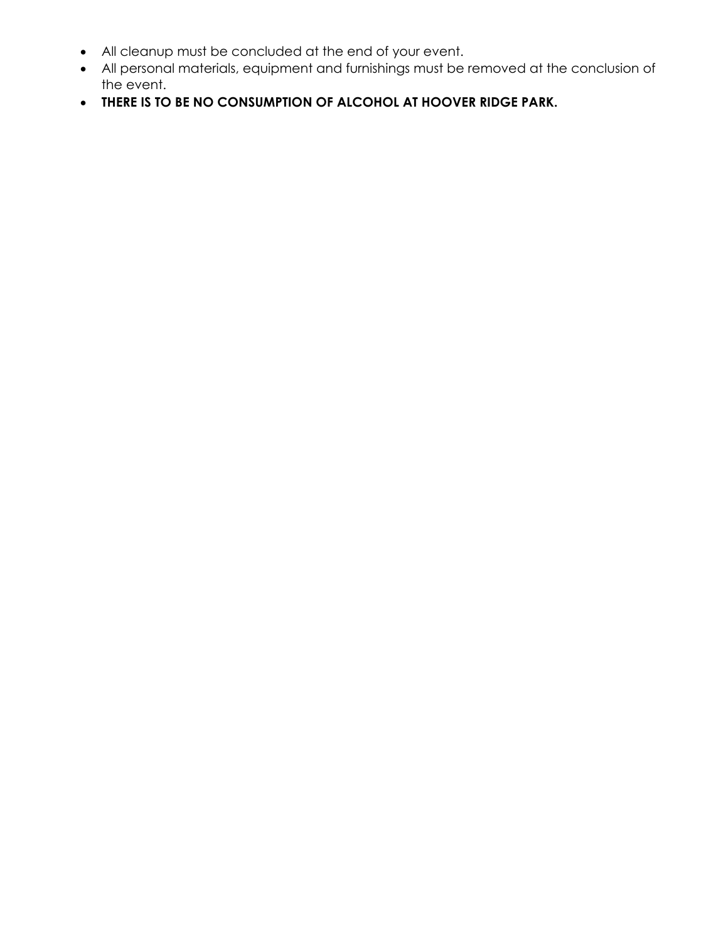- All cleanup must be concluded at the end of your event.
- All personal materials, equipment and furnishings must be removed at the conclusion of the event.
- **THERE IS TO BE NO CONSUMPTION OF ALCOHOL AT HOOVER RIDGE PARK.**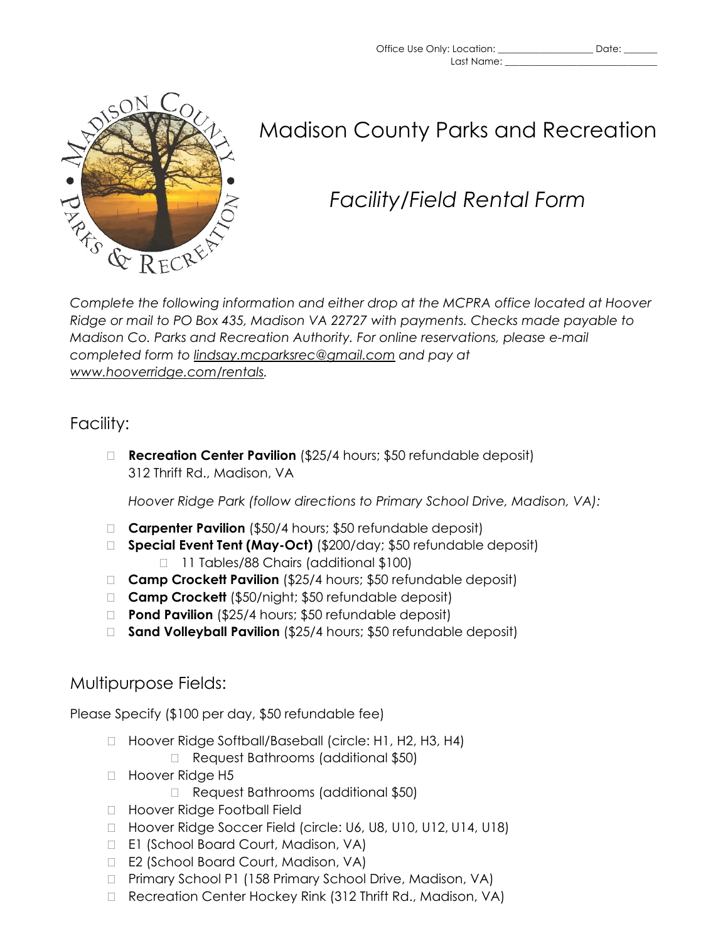



### Madison County Parks and Recreation

# *Facility/Field Rental Form*

*Complete the following information and either drop at the MCPRA office located at Hoover Ridge or mail to PO Box 435, Madison VA 22727 with payments. Checks made payable to Madison Co. Parks and Recreation Authority. For online reservations, please e-mail completed form to [lindsay.mcparksrec@gmail.com](mailto:lindsay.mcparksrec@gmail.com) and pay at [www.hooverridge.com/rentals.](http://www.hooverridge.com/rentals)* 

#### Facility:

 **Recreation Center Pavilion** (\$25/4 hours; \$50 refundable deposit) 312 Thrift Rd., Madison, VA

*Hoover Ridge Park (follow directions to Primary School Drive, Madison, VA):*

- □ **Carpenter Pavilion** (\$50/4 hours; \$50 refundable deposit)
- **Special Event Tent (May-Oct)** (\$200/day; \$50 refundable deposit) □ 11 Tables/88 Chairs (additional \$100)
- □ **Camp Crockett Pavilion** (\$25/4 hours; \$50 refundable deposit)
- **Camp Crockett** (\$50/night; \$50 refundable deposit)
- **Pond Pavilion** (\$25/4 hours; \$50 refundable deposit)
- □ **Sand Volleyball Pavilion** (\$25/4 hours; \$50 refundable deposit)

### Multipurpose Fields:

Please Specify (\$100 per day, \$50 refundable fee)

- □ Hoover Ridge Softball/Baseball (circle: H1, H2, H3, H4)
	- □ Request Bathrooms (additional \$50)
- □ Hoover Ridge H5
	- □ Request Bathrooms (additional \$50)
- □ Hoover Ridge Football Field
- □ Hoover Ridge Soccer Field (circle: U6, U8, U10, U12, U14, U18)
- □ E1 (School Board Court, Madison, VA)
- □ E2 (School Board Court, Madison, VA)
- □ Primary School P1 (158 Primary School Drive, Madison, VA)
- □ Recreation Center Hockey Rink (312 Thrift Rd., Madison, VA)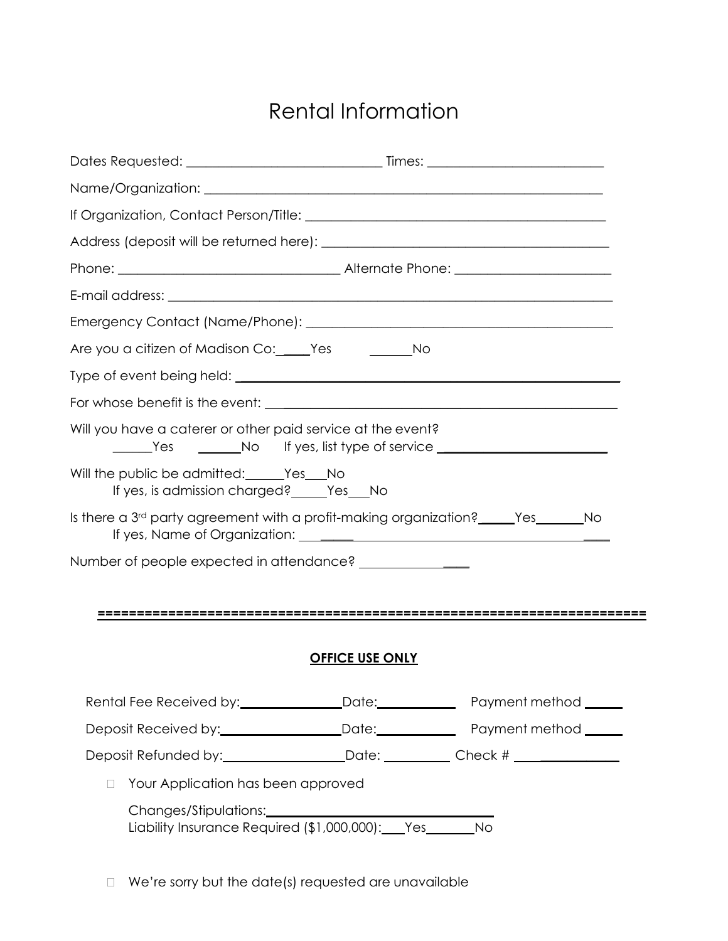## Rental Information

| Are you a citizen of Madison Co: Pes Communism Co.                                                     |                                    |                        |  |
|--------------------------------------------------------------------------------------------------------|------------------------------------|------------------------|--|
|                                                                                                        |                                    |                        |  |
|                                                                                                        |                                    |                        |  |
| Will you have a caterer or other paid service at the event?<br>The Yes No If yes, list type of service |                                    |                        |  |
| Will the public be admitted: Yes No<br>If yes, is admission charged? ______ Yes____ No                 |                                    |                        |  |
| Is there a 3 <sup>rd</sup> party agreement with a profit-making organization? _____Yes______No         |                                    |                        |  |
|                                                                                                        |                                    |                        |  |
|                                                                                                        |                                    |                        |  |
|                                                                                                        |                                    |                        |  |
|                                                                                                        |                                    |                        |  |
|                                                                                                        |                                    | <b>OFFICE USE ONLY</b> |  |
|                                                                                                        |                                    |                        |  |
|                                                                                                        |                                    |                        |  |
| Deposit Refunded by: _______________________Date: ____________Check # ___________                      |                                    |                        |  |
| П.                                                                                                     | Your Application has been approved |                        |  |
| Liability Insurance Required (\$1,000,000): Yes_______No                                               |                                    |                        |  |

 $\Box$  We're sorry but the date(s) requested are unavailable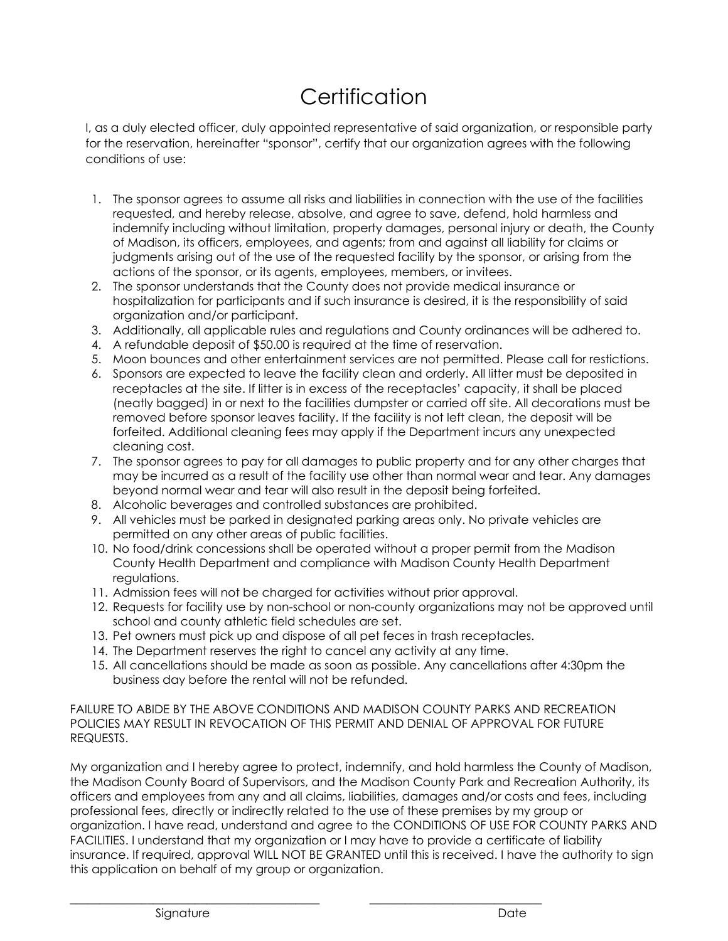# **Certification**

I, as a duly elected officer, duly appointed representative of said organization, or responsible party for the reservation, hereinafter "sponsor", certify that our organization agrees with the following conditions of use:

- 1. The sponsor agrees to assume all risks and liabilities in connection with the use of the facilities requested, and hereby release, absolve, and agree to save, defend, hold harmless and indemnify including without limitation, property damages, personal injury or death, the County of Madison, its officers, employees, and agents; from and against all liability for claims or judgments arising out of the use of the requested facility by the sponsor, or arising from the actions of the sponsor, or its agents, employees, members, or invitees.
- 2. The sponsor understands that the County does not provide medical insurance or hospitalization for participants and if such insurance is desired, it is the responsibility of said organization and/or participant.
- 3. Additionally, all applicable rules and regulations and County ordinances will be adhered to.
- 4. A refundable deposit of \$50.00 is required at the time of reservation.
- 5. Moon bounces and other entertainment services are not permitted. Please call for restictions.
- 6. Sponsors are expected to leave the facility clean and orderly. All litter must be deposited in receptacles at the site. If litter is in excess of the receptacles' capacity, it shall be placed (neatly bagged) in or next to the facilities dumpster or carried off site. All decorations must be removed before sponsor leaves facility. If the facility is not left clean, the deposit will be forfeited. Additional cleaning fees may apply if the Department incurs any unexpected cleaning cost.
- 7. The sponsor agrees to pay for all damages to public property and for any other charges that may be incurred as a result of the facility use other than normal wear and tear. Any damages beyond normal wear and tear will also result in the deposit being forfeited.
- 8. Alcoholic beverages and controlled substances are prohibited.
- 9. All vehicles must be parked in designated parking areas only. No private vehicles are permitted on any other areas of public facilities.
- 10. No food/drink concessions shall be operated without a proper permit from the Madison County Health Department and compliance with Madison County Health Department regulations.
- 11. Admission fees will not be charged for activities without prior approval.
- 12. Requests for facility use by non-school or non-county organizations may not be approved until school and county athletic field schedules are set.
- 13. Pet owners must pick up and dispose of all pet feces in trash receptacles.
- 14. The Department reserves the right to cancel any activity at any time.
- 15. All cancellations should be made as soon as possible. Any cancellations after 4:30pm the business day before the rental will not be refunded.

FAILURE TO ABIDE BY THE ABOVE CONDITIONS AND MADISON COUNTY PARKS AND RECREATION POLICIES MAY RESULT IN REVOCATION OF THIS PERMIT AND DENIAL OF APPROVAL FOR FUTURE REQUESTS.

My organization and I hereby agree to protect, indemnify, and hold harmless the County of Madison, the Madison County Board of Supervisors, and the Madison County Park and Recreation Authority, its officers and employees from any and all claims, liabilities, damages and/or costs and fees, including professional fees, directly or indirectly related to the use of these premises by my group or organization. I have read, understand and agree to the CONDITIONS OF USE FOR COUNTY PARKS AND FACILITIES. I understand that my organization or I may have to provide a certificate of liability insurance. If required, approval WILL NOT BE GRANTED until this is received. I have the authority to sign this application on behalf of my group or organization.